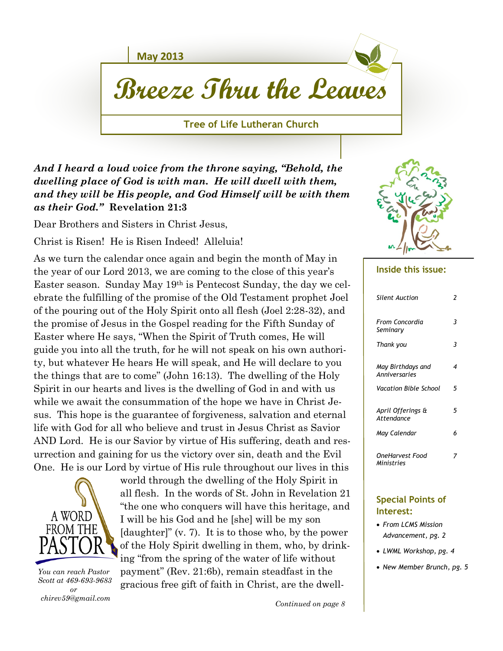**May 2013**

# **Breeze Thru the Leaves**

**Tree of Life Lutheran Church**

*And I heard a loud voice from the throne saying, "Behold, the dwelling place of God is with man. He will dwell with them, and they will be His people, and God Himself will be with them as their God."* **Revelation 21:3**

Dear Brothers and Sisters in Christ Jesus,

Christ is Risen! He is Risen Indeed! Alleluia!

As we turn the calendar once again and begin the month of May in the year of our Lord 2013, we are coming to the close of this year's Easter season. Sunday May 19th is Pentecost Sunday, the day we celebrate the fulfilling of the promise of the Old Testament prophet Joel of the pouring out of the Holy Spirit onto all flesh (Joel 2:28-32), and the promise of Jesus in the Gospel reading for the Fifth Sunday of Easter where He says, "When the Spirit of Truth comes, He will guide you into all the truth, for he will not speak on his own authority, but whatever He hears He will speak, and He will declare to you the things that are to come" (John 16:13). The dwelling of the Holy Spirit in our hearts and lives is the dwelling of God in and with us while we await the consummation of the hope we have in Christ Jesus. This hope is the guarantee of forgiveness, salvation and eternal life with God for all who believe and trust in Jesus Christ as Savior AND Lord. He is our Savior by virtue of His suffering, death and resurrection and gaining for us the victory over sin, death and the Evil One. He is our Lord by virtue of His rule throughout our lives in this



 *You can reach Pastor Scott at 469-693-9683 or chirev59@gmail.com*

world through the dwelling of the Holy Spirit in all flesh. In the words of St. John in Revelation 21 "the one who conquers will have this heritage, and I will be his God and he [she] will be my son [daughter]" (v. 7). It is to those who, by the power of the Holy Spirit dwelling in them, who, by drinking "from the spring of the water of life without payment" (Rev. 21:6b), remain steadfast in the gracious free gift of faith in Christ, are the dwell-



#### **Inside this issue:**

| Silent Auction                     | 2 |
|------------------------------------|---|
| From Concordia<br>Seminary         | 3 |
| Thank you                          | 3 |
| May Birthdays and<br>Anniversaries | 4 |
| Vacation Bible School              | 5 |
| April Offerings &<br>Attendance    | 5 |
| May Calendar                       | 6 |
| OneHarvest Food<br>Ministries      |   |

#### **Special Points of Interest:**

- *From LCMS Mission Advancement, pg. 2*
- *LWML Workshop, pg. 4*
- *New Member Brunch, pg. 5*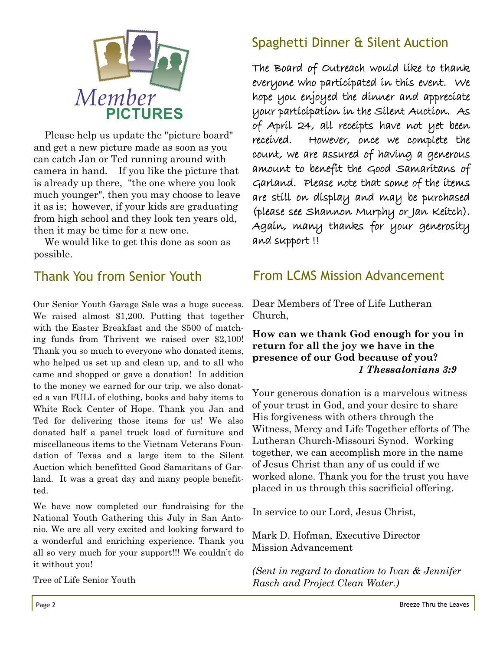

 Please help us update the "picture board" and get a new picture made as soon as you can catch Jan or Ted running around with camera in hand. If you like the picture that is already up there, "the one where you look much younger", then you may choose to leave it as is; however, if your kids are graduating from high school and they look ten years old, then it may be time for a new one.

 We would like to get this done as soon as possible.

### Thank You from Senior Youth

Our Senior Youth Garage Sale was a huge success. We raised almost \$1,200. Putting that together with the Easter Breakfast and the \$500 of matching funds from Thrivent we raised over \$2,100! Thank you so much to everyone who donated items, who helped us set up and clean up, and to all who came and shopped or gave a donation! In addition to the money we earned for our trip, we also donated a van FULL of clothing, books and baby items to White Rock Center of Hope. Thank you Jan and Ted for delivering those items for us! We also donated half a panel truck load of furniture and miscellaneous items to the Vietnam Veterans Foundation of Texas and a large item to the Silent Auction which benefitted Good Samaritans of Garland. It was a great day and many people benefitted.

We have now completed our fundraising for the National Youth Gathering this July in San Antonio. We are all very excited and looking forward to a wonderful and enriching experience. Thank you all so very much for your support!!! We couldn't do it without you!

Tree of Life Senior Youth

### Spaghetti Dinner & Silent Auction

The Board of Outreach would like to thank everyone who participated in this event. We hope you enjoyed the dinner and appreciate your participation in the Silent Auction. As of April 24, all receipts have not yet been received. However, once we complete the count, we are assured of having a generous amount to benefit the Good Samaritans of Garland. Please note that some of the items are still on display and may be purchased (please see Shannon Murphy or Jan Keitch). Again, many thanks for your generosity and support !!

### From LCMS Mission Advancement

Dear Members of Tree of Life Lutheran Church,

### **How can we thank God enough for you in return for all the joy we have in the presence of our God because of you?**   *1 Thessalonians 3:9*

Your generous donation is a marvelous witness of your trust in God, and your desire to share His forgiveness with others through the Witness, Mercy and Life Together efforts of The Lutheran Church-Missouri Synod. Working together, we can accomplish more in the name of Jesus Christ than any of us could if we worked alone. Thank you for the trust you have placed in us through this sacrificial offering.

In service to our Lord, Jesus Christ,

Mark D. Hofman, Executive Director Mission Advancement

*(Sent in regard to donation to Ivan & Jennifer Rasch and Project Clean Water.)*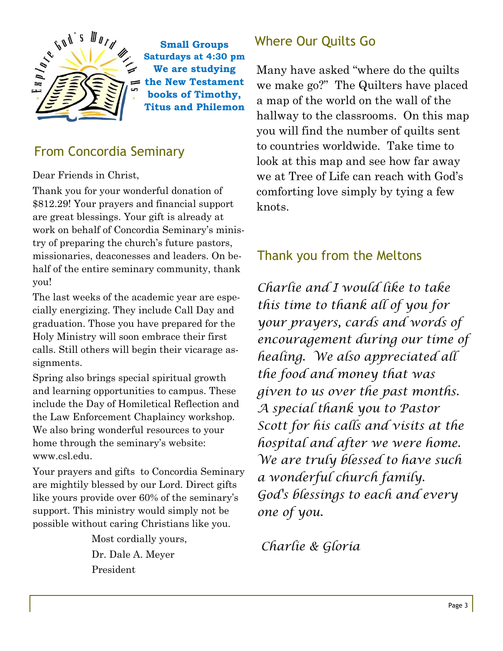

**Small Groups Saturdays at 4:30 pm We are studying the New Testament books of Timothy, Titus and Philemon**

### From Concordia Seminary

Dear Friends in Christ,

Thank you for your wonderful donation of \$812.29! Your prayers and financial support are great blessings. Your gift is already at work on behalf of Concordia Seminary's ministry of preparing the church's future pastors, missionaries, deaconesses and leaders. On behalf of the entire seminary community, thank you!

The last weeks of the academic year are especially energizing. They include Call Day and graduation. Those you have prepared for the Holy Ministry will soon embrace their first calls. Still others will begin their vicarage assignments.

Spring also brings special spiritual growth and learning opportunities to campus. These include the Day of Homiletical Reflection and the Law Enforcement Chaplaincy workshop. We also bring wonderful resources to your home through the seminary's website: www.csl.edu.

Your prayers and gifts to Concordia Seminary are mightily blessed by our Lord. Direct gifts like yours provide over 60% of the seminary's support. This ministry would simply not be possible without caring Christians like you.

> Most cordially yours, Dr. Dale A. Meyer President

# Where Our Quilts Go

Many have asked "where do the quilts we make go?" The Quilters have placed a map of the world on the wall of the hallway to the classrooms. On this map you will find the number of quilts sent to countries worldwide. Take time to look at this map and see how far away we at Tree of Life can reach with God's comforting love simply by tying a few knots.

### Thank you from the Meltons

*Charlie and I would like to take this time to thank all of you for your prayers, cards and words of encouragement during our time of healing. We also appreciated all the food and money that was given to us over the past months. A special thank you to Pastor Scott for his calls and visits at the hospital and after we were home. We are truly blessed to have such a wonderful church family. God's blessings to each and every one of you.*

*Charlie & Gloria*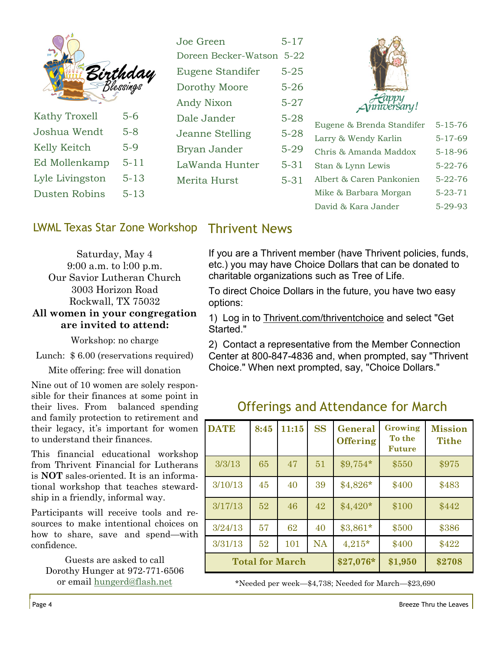| $\mathbf{L}$    |                                 | Joe Green<br>Doreen Becker-Watson 5-22 | $5 - 17$ |                                |               |
|-----------------|---------------------------------|----------------------------------------|----------|--------------------------------|---------------|
|                 |                                 | Eugene Standifer                       | $5 - 25$ |                                |               |
|                 | <b>Birthday</b><br>== Blessings | Dorothy Moore                          | $5 - 26$ |                                |               |
|                 |                                 | Andy Nixon                             | $5 - 27$ | <i>Fe</i> appy<br>{  muversany |               |
| Kathy Troxell   | $5-6$                           | Dale Jander                            | $5 - 28$ | Eugene & Brenda Standifer      | $5 - 15 - 76$ |
| Joshua Wendt    | $5 - 8$                         | Jeanne Stelling                        | $5 - 28$ | Larry & Wendy Karlin           | $5 - 17 - 69$ |
| Kelly Keitch    | $5-9$                           | Bryan Jander                           | $5-29$   | Chris & Amanda Maddox          | $5 - 18 - 96$ |
| Ed Mollenkamp   | $5 - 11$                        | LaWanda Hunter                         | $5 - 31$ | Stan & Lynn Lewis              | $5 - 22 - 76$ |
| Lyle Livingston | $5 - 13$                        | Merita Hurst                           | $5 - 31$ | Albert & Caren Pankonien       | $5 - 22 - 76$ |
| Dusten Robins   | $5 - 13$                        |                                        |          | Mike & Barbara Morgan          | $5 - 23 - 71$ |

#### LWML Texas Star Zone Workshop Thrivent News

Saturday, May 4 9:00 a.m. to l:00 p.m. Our Savior Lutheran Church 3003 Horizon Road Rockwall, TX 75032

#### **All women in your congregation are invited to attend:**

Workshop: no charge

Lunch: \$ 6.00 (reservations required)

Mite offering: free will donation

Nine out of 10 women are solely responsible for their finances at some point in their lives. From balanced spending and family protection to retirement and their legacy, it's important for women to understand their finances.

This financial educational workshop from Thrivent Financial for Lutherans is **NOT** sales-oriented. It is an informational workshop that teaches stewardship in a friendly, informal way.

Participants will receive tools and resources to make intentional choices on how to share, save and spend—with confidence.

Guests are asked to call Dorothy Hunger at 972-771-6506 or email [hungerd@flash.net](mailto:hungerd@flash.net)

If you are a Thrivent member (have Thrivent policies, funds, etc.) you may have Choice Dollars that can be donated to charitable organizations such as Tree of Life.

David & Kara Jander 5-29-93

To direct Choice Dollars in the future, you have two easy options:

1) Log in to [Thrivent.com/thriventchoice](http://sitelinkers.thrivent.com/id_b6affd5178c0_13cb01/) and select "Get Started."

2) Contact a representative from the Member Connection Center at 800-847-4836 and, when prompted, say "Thrivent Choice." When next prompted, say, "Choice Dollars."

| <b>DATE</b> | 8:45 | 11:15                  | <b>SS</b> | General<br><b>Offering</b> | Growing<br>To the<br><b>Future</b> | <b>Mission</b><br><b>Tithe</b> |
|-------------|------|------------------------|-----------|----------------------------|------------------------------------|--------------------------------|
| 3/3/13      | 65   | 47                     | 51        | $$9,754*$                  | \$550                              | \$975                          |
| 3/10/13     | 45   | 40                     | 39        | $$4,826*$                  | \$400                              | \$483                          |
| 3/17/13     | 52   | 46                     | 42        | $$4,420*$                  | \$100                              | \$442                          |
| 3/24/13     | 57   | 62                     | 40        | $$3,861*$                  | \$500                              | \$386                          |
| 3/31/13     | 52   | 101                    | <b>NA</b> | $4,215*$                   | \$400                              | \$422                          |
|             |      | <b>Total for March</b> |           | $$27,076*$                 | \$1,950                            | \$2708                         |

Offerings and Attendance for March

\*Needed per week—\$4,738; Needed for March—\$23,690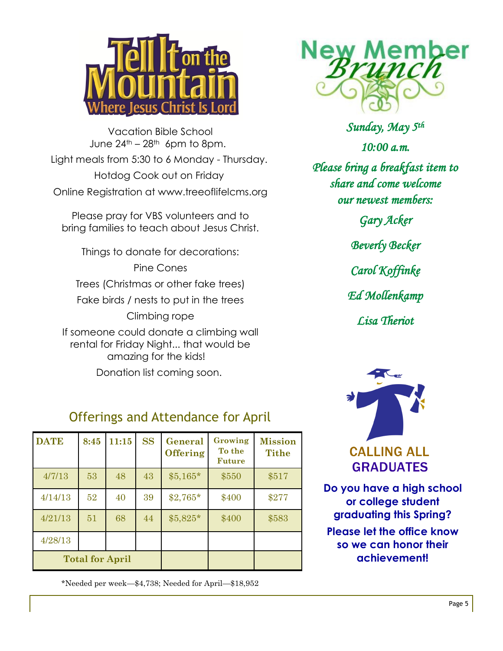

Vacation Bible School June  $24<sup>th</sup> - 28<sup>th</sup>$  6pm to 8pm. Light meals from 5:30 to 6 Monday - Thursday. Hotdog Cook out on Friday Online Registration at www.treeoflifelcms.org

Please pray for VBS volunteers and to bring families to teach about Jesus Christ.

Things to donate for decorations:

Pine Cones Trees (Christmas or other fake trees) Fake birds / nests to put in the trees Climbing rope If someone could donate a climbing wall

rental for Friday Night... that would be amazing for the kids!

Donation list coming soon.

# Offerings and Attendance for April

| <b>DATE</b>            | 8:45 | 11:15 | <b>SS</b> | General<br><b>Offering</b> | Growing<br>To the<br><b>Future</b> | <b>Mission</b><br><b>Tithe</b> |
|------------------------|------|-------|-----------|----------------------------|------------------------------------|--------------------------------|
| 4/7/13                 | 53   | 48    | 43        | $$5,165*$                  | \$550                              | \$517                          |
| 4/14/13                | 52   | 40    | 39        | $$2,765*$                  | \$400                              | \$277                          |
| 4/21/13                | 51   | 68    | 44        | $$5,825*$                  | \$400                              | \$583                          |
| 4/28/13                |      |       |           |                            |                                    |                                |
| <b>Total for April</b> |      |       |           |                            |                                    |                                |

\*Needed per week—\$4,738; Needed for April—\$18,952



*Sunday, May 5th 10:00 a.m. Please bring a breakfast item to share and come welcome our newest members: Gary Acker Beverly Becker Carol Koffinke Ed Mollenkamp Lisa Theriot* 



**Do you have a high school or college student graduating this Spring? Please let the office know so we can honor their achievement!**